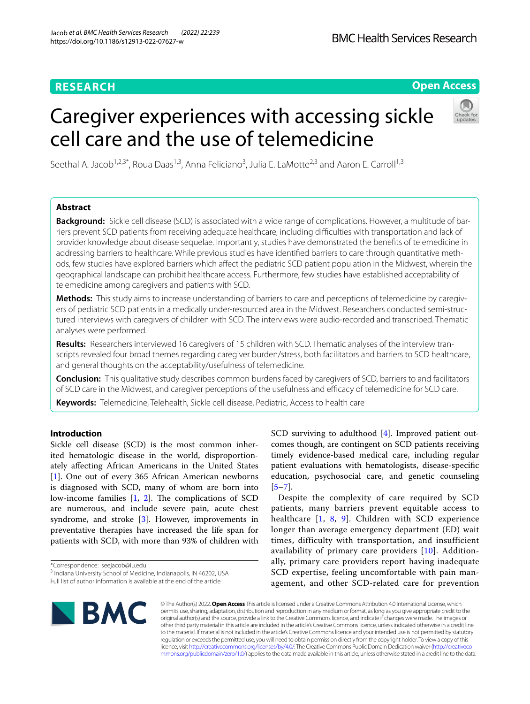## **RESEARCH**

## **Open Access**

# Caregiver experiences with accessing sickle cell care and the use of telemedicine



Seethal A. Jacob<sup>1,2,3\*</sup>, Roua Daas<sup>1,3</sup>, Anna Feliciano<sup>3</sup>, Julia E. LaMotte<sup>2,3</sup> and Aaron E. Carroll<sup>1,3</sup>

## **Abstract**

**Background:** Sickle cell disease (SCD) is associated with a wide range of complications. However, a multitude of barriers prevent SCD patients from receiving adequate healthcare, including difficulties with transportation and lack of provider knowledge about disease sequelae. Importantly, studies have demonstrated the benefts of telemedicine in addressing barriers to healthcare. While previous studies have identifed barriers to care through quantitative methods, few studies have explored barriers which afect the pediatric SCD patient population in the Midwest, wherein the geographical landscape can prohibit healthcare access. Furthermore, few studies have established acceptability of telemedicine among caregivers and patients with SCD.

**Methods:** This study aims to increase understanding of barriers to care and perceptions of telemedicine by caregivers of pediatric SCD patients in a medically under-resourced area in the Midwest. Researchers conducted semi-structured interviews with caregivers of children with SCD. The interviews were audio-recorded and transcribed. Thematic analyses were performed.

**Results:** Researchers interviewed 16 caregivers of 15 children with SCD. Thematic analyses of the interview transcripts revealed four broad themes regarding caregiver burden/stress, both facilitators and barriers to SCD healthcare, and general thoughts on the acceptability/usefulness of telemedicine.

**Conclusion:** This qualitative study describes common burdens faced by caregivers of SCD, barriers to and facilitators of SCD care in the Midwest, and caregiver perceptions of the usefulness and efficacy of telemedicine for SCD care.

**Keywords:** Telemedicine, Telehealth, Sickle cell disease, Pediatric, Access to health care

## **Introduction**

Sickle cell disease (SCD) is the most common inherited hematologic disease in the world, disproportionately afecting African Americans in the United States [[1\]](#page-8-0). One out of every 365 African American newborns is diagnosed with SCD, many of whom are born into low-income families  $[1, 2]$  $[1, 2]$  $[1, 2]$  $[1, 2]$  $[1, 2]$ . The complications of SCD are numerous, and include severe pain, acute chest syndrome, and stroke [[3\]](#page-8-2). However, improvements in preventative therapies have increased the life span for patients with SCD, with more than 93% of children with SCD surviving to adulthood [[4\]](#page-8-3). Improved patient outcomes though, are contingent on SCD patients receiving timely evidence-based medical care, including regular patient evaluations with hematologists, disease-specifc education, psychosocial care, and genetic counseling  $[5-7]$  $[5-7]$ .

Despite the complexity of care required by SCD patients, many barriers prevent equitable access to healthcare [[1](#page-8-0), [8](#page-8-6), [9\]](#page-8-7). Children with SCD experience longer than average emergency department (ED) wait times, difficulty with transportation, and insufficient availability of primary care providers [[10\]](#page-8-8). Additionally, primary care providers report having inadequate SCD expertise, feeling uncomfortable with pain management, and other SCD-related care for prevention



© The Author(s) 2022. **Open Access** This article is licensed under a Creative Commons Attribution 4.0 International License, which permits use, sharing, adaptation, distribution and reproduction in any medium or format, as long as you give appropriate credit to the original author(s) and the source, provide a link to the Creative Commons licence, and indicate if changes were made. The images or other third party material in this article are included in the article's Creative Commons licence, unless indicated otherwise in a credit line to the material. If material is not included in the article's Creative Commons licence and your intended use is not permitted by statutory regulation or exceeds the permitted use, you will need to obtain permission directly from the copyright holder. To view a copy of this licence, visit [http://creativecommons.org/licenses/by/4.0/.](http://creativecommons.org/licenses/by/4.0/) The Creative Commons Public Domain Dedication waiver ([http://creativeco](http://creativecommons.org/publicdomain/zero/1.0/) [mmons.org/publicdomain/zero/1.0/](http://creativecommons.org/publicdomain/zero/1.0/)) applies to the data made available in this article, unless otherwise stated in a credit line to the data.

<sup>\*</sup>Correspondence: seejacob@iu.edu

<sup>&</sup>lt;sup>3</sup> Indiana University School of Medicine, Indianapolis, IN 46202, USA Full list of author information is available at the end of the article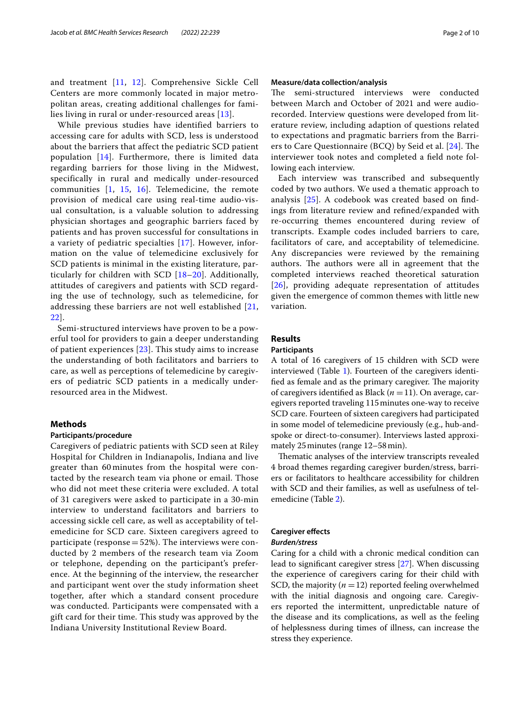and treatment [[11](#page-8-9), [12\]](#page-8-10). Comprehensive Sickle Cell Centers are more commonly located in major metropolitan areas, creating additional challenges for families living in rural or under-resourced areas [\[13\]](#page-8-11).

While previous studies have identified barriers to accessing care for adults with SCD, less is understood about the barriers that affect the pediatric SCD patient population [[14](#page-8-12)]. Furthermore, there is limited data regarding barriers for those living in the Midwest, specifically in rural and medically under-resourced communities [[1,](#page-8-0) [15](#page-8-13), [16\]](#page-9-0). Telemedicine, the remote provision of medical care using real-time audio-visual consultation, is a valuable solution to addressing physician shortages and geographic barriers faced by patients and has proven successful for consultations in a variety of pediatric specialties [[17](#page-9-1)]. However, information on the value of telemedicine exclusively for SCD patients is minimal in the existing literature, particularly for children with SCD [[18](#page-9-2)[–20](#page-9-3)]. Additionally, attitudes of caregivers and patients with SCD regarding the use of technology, such as telemedicine, for addressing these barriers are not well established [[21](#page-9-4), [22\]](#page-9-5).

Semi-structured interviews have proven to be a powerful tool for providers to gain a deeper understanding of patient experiences [\[23](#page-9-6)]. This study aims to increase the understanding of both facilitators and barriers to care, as well as perceptions of telemedicine by caregivers of pediatric SCD patients in a medically underresourced area in the Midwest.

#### **Methods**

#### **Participants/procedure**

Caregivers of pediatric patients with SCD seen at Riley Hospital for Children in Indianapolis, Indiana and live greater than 60 minutes from the hospital were contacted by the research team via phone or email. Those who did not meet these criteria were excluded. A total of 31 caregivers were asked to participate in a 30-min interview to understand facilitators and barriers to accessing sickle cell care, as well as acceptability of telemedicine for SCD care. Sixteen caregivers agreed to participate (response = 52%). The interviews were conducted by 2 members of the research team via Zoom or telephone, depending on the participant's preference. At the beginning of the interview, the researcher and participant went over the study information sheet together, after which a standard consent procedure was conducted. Participants were compensated with a gift card for their time. This study was approved by the Indiana University Institutional Review Board.

#### **Measure/data collection/analysis**

The semi-structured interviews were conducted between March and October of 2021 and were audiorecorded. Interview questions were developed from literature review, including adaption of questions related to expectations and pragmatic barriers from the Barri-ers to Care Questionnaire (BCQ) by Seid et al. [[24\]](#page-9-7). The interviewer took notes and completed a feld note following each interview.

Each interview was transcribed and subsequently coded by two authors. We used a thematic approach to analysis [[25\]](#page-9-8). A codebook was created based on fndings from literature review and refned/expanded with re-occurring themes encountered during review of transcripts. Example codes included barriers to care, facilitators of care, and acceptability of telemedicine. Any discrepancies were reviewed by the remaining authors. The authors were all in agreement that the completed interviews reached theoretical saturation [[26](#page-9-9)], providing adequate representation of attitudes given the emergence of common themes with little new variation.

## **Results**

#### **Participants**

A total of 16 caregivers of 15 children with SCD were interviewed (Table [1](#page-2-0)). Fourteen of the caregivers identified as female and as the primary caregiver. The majority of caregivers identifed as Black (*n* =11). On average, caregivers reported traveling 115minutes one-way to receive SCD care. Fourteen of sixteen caregivers had participated in some model of telemedicine previously (e.g., hub-andspoke or direct-to-consumer). Interviews lasted approximately 25minutes (range 12–58min).

Thematic analyses of the interview transcripts revealed 4 broad themes regarding caregiver burden/stress, barriers or facilitators to healthcare accessibility for children with SCD and their families, as well as usefulness of telemedicine (Table [2](#page-3-0)).

#### **Caregiver efects** *Burden/stress*

Caring for a child with a chronic medical condition can lead to signifcant caregiver stress [\[27\]](#page-9-10). When discussing the experience of caregivers caring for their child with SCD, the majority  $(n = 12)$  reported feeling overwhelmed with the initial diagnosis and ongoing care. Caregivers reported the intermittent, unpredictable nature of the disease and its complications, as well as the feeling of helplessness during times of illness, can increase the stress they experience.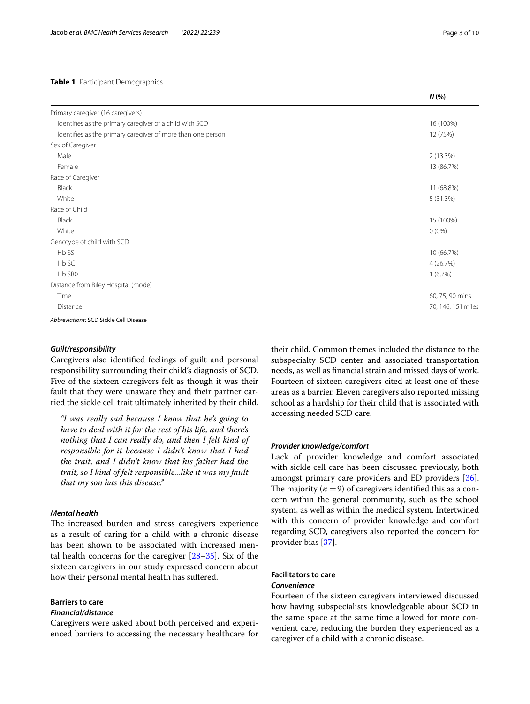#### <span id="page-2-0"></span>**Table 1** Participant Demographics

|                                                             | N(%                |
|-------------------------------------------------------------|--------------------|
| Primary caregiver (16 caregivers)                           |                    |
| Identifies as the primary caregiver of a child with SCD     | 16 (100%)          |
| Identifies as the primary caregiver of more than one person | 12 (75%)           |
| Sex of Caregiver                                            |                    |
| Male                                                        | 2 (13.3%)          |
| Female                                                      | 13 (86.7%)         |
| Race of Caregiver                                           |                    |
| Black                                                       | 11 (68.8%)         |
| White                                                       | 5 (31.3%)          |
| Race of Child                                               |                    |
| Black                                                       | 15 (100%)          |
| White                                                       | $0(0\%)$           |
| Genotype of child with SCD                                  |                    |
| Hb SS                                                       | 10 (66.7%)         |
| Hb SC                                                       | 4(26.7%)           |
| Hb SB0                                                      | 1(6.7%)            |
| Distance from Riley Hospital (mode)                         |                    |
| Time                                                        | 60, 75, 90 mins    |
| Distance                                                    | 70, 146, 151 miles |

*Abbreviations:* SCD Sickle Cell Disease

#### *Guilt/responsibility*

Caregivers also identifed feelings of guilt and personal responsibility surrounding their child's diagnosis of SCD. Five of the sixteen caregivers felt as though it was their fault that they were unaware they and their partner carried the sickle cell trait ultimately inherited by their child.

*"I was really sad because I know that he's going to have to deal with it for the rest of his life, and there's nothing that I can really do, and then I felt kind of responsible for it because I didn't know that I had the trait, and I didn't know that his father had the trait, so I kind of felt responsible...like it was my fault that my son has this disease."*

#### *Mental health*

The increased burden and stress caregivers experience as a result of caring for a child with a chronic disease has been shown to be associated with increased mental health concerns for the caregiver [\[28](#page-9-11)[–35](#page-9-12)]. Six of the sixteen caregivers in our study expressed concern about how their personal mental health has sufered.

#### **Barriers to care**

#### *Financial/distance*

Caregivers were asked about both perceived and experienced barriers to accessing the necessary healthcare for their child. Common themes included the distance to the subspecialty SCD center and associated transportation needs, as well as fnancial strain and missed days of work. Fourteen of sixteen caregivers cited at least one of these areas as a barrier. Eleven caregivers also reported missing school as a hardship for their child that is associated with accessing needed SCD care.

#### *Provider knowledge/comfort*

Lack of provider knowledge and comfort associated with sickle cell care has been discussed previously, both amongst primary care providers and ED providers [\[36](#page-9-13)]. The majority  $(n = 9)$  of caregivers identified this as a concern within the general community, such as the school system, as well as within the medical system. Intertwined with this concern of provider knowledge and comfort regarding SCD, caregivers also reported the concern for provider bias [[37](#page-9-14)].

#### **Facilitators to care** *Convenience*

Fourteen of the sixteen caregivers interviewed discussed how having subspecialists knowledgeable about SCD in the same space at the same time allowed for more convenient care, reducing the burden they experienced as a caregiver of a child with a chronic disease.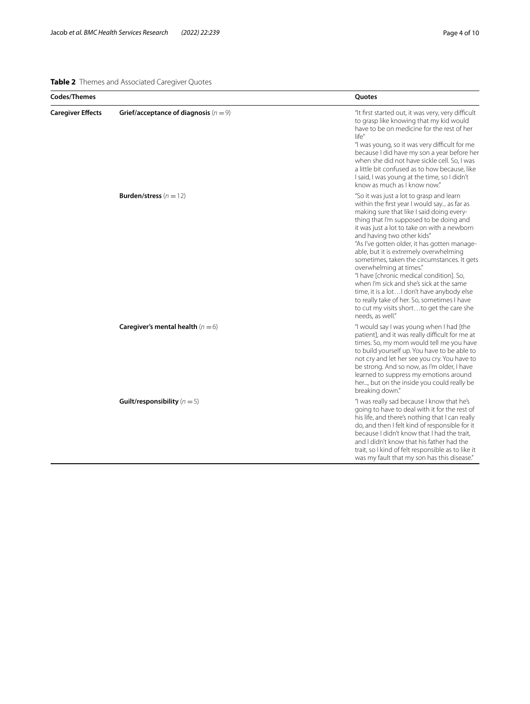## <span id="page-3-0"></span>**Table 2** Themes and Associated Caregiver Quotes

| Codes/Themes             |                                           | Quotes                                                                                                                                                                                                                                                                                                                                                                                                                                                                                                                                                                                                                                                                                  |
|--------------------------|-------------------------------------------|-----------------------------------------------------------------------------------------------------------------------------------------------------------------------------------------------------------------------------------------------------------------------------------------------------------------------------------------------------------------------------------------------------------------------------------------------------------------------------------------------------------------------------------------------------------------------------------------------------------------------------------------------------------------------------------------|
| <b>Caregiver Effects</b> | Grief/acceptance of diagnosis ( $n = 9$ ) | "It first started out, it was very, very difficult<br>to grasp like knowing that my kid would<br>have to be on medicine for the rest of her<br>life"<br>"I was young, so it was very difficult for me<br>because I did have my son a year before her<br>when she did not have sickle cell. So, I was<br>a little bit confused as to how because, like<br>I said, I was young at the time, so I didn't<br>know as much as I know now."                                                                                                                                                                                                                                                   |
|                          | Burden/stress ( $n = 12$ )                | "So it was just a lot to grasp and learn<br>within the first year I would say as far as<br>making sure that like I said doing every-<br>thing that I'm supposed to be doing and<br>it was just a lot to take on with a newborn<br>and having two other kids"<br>"As I've gotten older, it has gotten manage-<br>able, but it is extremely overwhelming<br>sometimes, taken the circumstances. It gets<br>overwhelming at times."<br>"I have [chronic medical condition]. So,<br>when I'm sick and she's sick at the same<br>time, it is a lot I don't have anybody else<br>to really take of her. So, sometimes I have<br>to cut my visits shortto get the care she<br>needs, as well." |
|                          | Caregiver's mental health $(n=6)$         | "I would say I was young when I had [the<br>patient], and it was really difficult for me at<br>times. So, my mom would tell me you have<br>to build yourself up. You have to be able to<br>not cry and let her see you cry. You have to<br>be strong. And so now, as I'm older, I have<br>learned to suppress my emotions around<br>her, but on the inside you could really be<br>breaking down."                                                                                                                                                                                                                                                                                       |
|                          | Guilt/responsibility $(n=5)$              | "I was really sad because I know that he's<br>going to have to deal with it for the rest of<br>his life, and there's nothing that I can really<br>do, and then I felt kind of responsible for it<br>because I didn't know that I had the trait.<br>and I didn't know that his father had the<br>trait, so I kind of felt responsible as to like it<br>was my fault that my son has this disease."                                                                                                                                                                                                                                                                                       |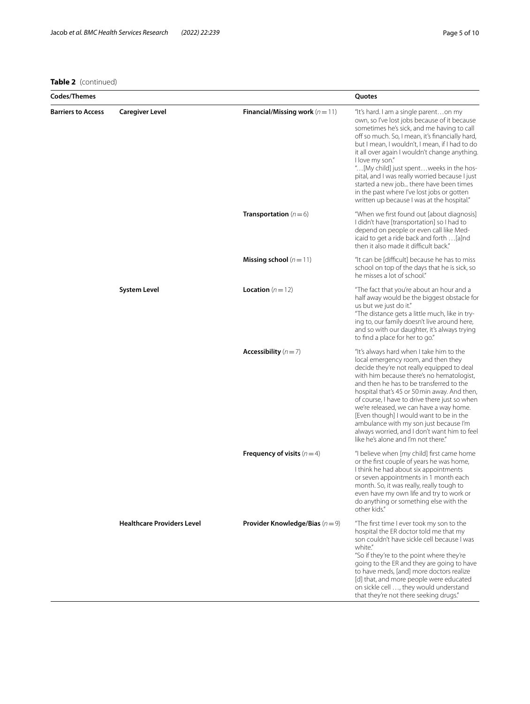### **Table 2** (continued)

| <b>Codes/Themes</b>       |                                   |                                          | Quotes                                                                                                                                                                                                                                                                                                                                                                                                                                                                                                                                           |
|---------------------------|-----------------------------------|------------------------------------------|--------------------------------------------------------------------------------------------------------------------------------------------------------------------------------------------------------------------------------------------------------------------------------------------------------------------------------------------------------------------------------------------------------------------------------------------------------------------------------------------------------------------------------------------------|
| <b>Barriers to Access</b> | <b>Caregiver Level</b>            | <b>Financial/Missing work</b> $(n = 11)$ | "It's hard. I am a single parenton my<br>own, so I've lost jobs because of it because<br>sometimes he's sick, and me having to call<br>off so much. So, I mean, it's financially hard,<br>but I mean, I wouldn't, I mean, if I had to do<br>it all over again I wouldn't change anything.<br>I love my son."<br>"[My child] just spentweeks in the hos-<br>pital, and I was really worried because I just<br>started a new job there have been times<br>in the past where I've lost jobs or gotten<br>written up because I was at the hospital." |
|                           |                                   | <b>Transportation</b> $(n=6)$            | "When we first found out [about diagnosis]<br>I didn't have [transportation] so I had to<br>depend on people or even call like Med-<br>icaid to get a ride back and forth [a]nd<br>then it also made it difficult back."                                                                                                                                                                                                                                                                                                                         |
|                           |                                   | <b>Missing school</b> ( $n = 11$ )       | "It can be [difficult] because he has to miss<br>school on top of the days that he is sick, so<br>he misses a lot of school."                                                                                                                                                                                                                                                                                                                                                                                                                    |
|                           | <b>System Level</b>               | <b>Location</b> $(n=12)$                 | "The fact that you're about an hour and a<br>half away would be the biggest obstacle for<br>us but we just do it."<br>"The distance gets a little much, like in try-<br>ing to, our family doesn't live around here,<br>and so with our daughter, it's always trying<br>to find a place for her to go."                                                                                                                                                                                                                                          |
|                           |                                   | Accessibility $(n=7)$                    | "It's always hard when I take him to the<br>local emergency room, and then they<br>decide they're not really equipped to deal<br>with him because there's no hematologist,<br>and then he has to be transferred to the<br>hospital that's 45 or 50 min away. And then,<br>of course, I have to drive there just so when<br>we're released, we can have a way home.<br>[Even though] I would want to be in the<br>ambulance with my son just because I'm<br>always worried, and I don't want him to feel<br>like he's alone and I'm not there."   |
|                           |                                   | Frequency of visits $(n=4)$              | "I believe when [my child] first came home<br>or the first couple of years he was home,<br>I think he had about six appointments<br>or seven appointments in 1 month each<br>month. So, it was really, really tough to<br>even have my own life and try to work or<br>do anything or something else with the<br>other kids."                                                                                                                                                                                                                     |
|                           | <b>Healthcare Providers Level</b> | <b>Provider Knowledge/Bias</b> $(n=9)$   | "The first time I ever took my son to the<br>hospital the ER doctor told me that my<br>son couldn't have sickle cell because I was<br>white."<br>"So if they're to the point where they're<br>going to the ER and they are going to have<br>to have meds, [and] more doctors realize<br>[d] that, and more people were educated<br>on sickle cell , they would understand<br>that they're not there seeking drugs."                                                                                                                              |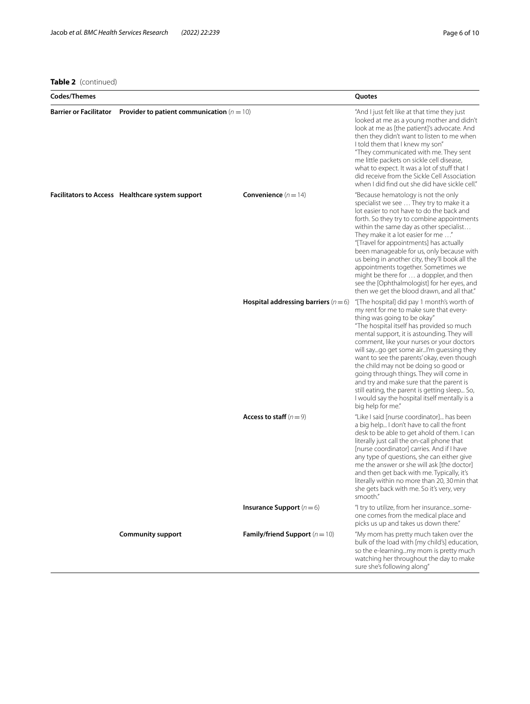| <b>Codes/Themes</b>           |                                                  |                                           | Quotes                                                                                                                                                                                                                                                                                                                                                                                                                                                                                                                                                                                                         |
|-------------------------------|--------------------------------------------------|-------------------------------------------|----------------------------------------------------------------------------------------------------------------------------------------------------------------------------------------------------------------------------------------------------------------------------------------------------------------------------------------------------------------------------------------------------------------------------------------------------------------------------------------------------------------------------------------------------------------------------------------------------------------|
| <b>Barrier or Facilitator</b> | Provider to patient communication ( $n = 10$ )   |                                           | "And I just felt like at that time they just<br>looked at me as a young mother and didn't<br>look at me as [the patient]'s advocate. And<br>then they didn't want to listen to me when<br>I told them that I knew my son"<br>"They communicated with me. They sent<br>me little packets on sickle cell disease,<br>what to expect. It was a lot of stuff that I<br>did receive from the Sickle Cell Association<br>when I did find out she did have sickle cell."                                                                                                                                              |
|                               | Facilitators to Access Healthcare system support | Convenience $(n=14)$                      | "Because hematology is not the only<br>specialist we see  They try to make it a<br>lot easier to not have to do the back and<br>forth. So they try to combine appointments<br>within the same day as other specialist<br>They make it a lot easier for me "<br>"[Travel for appointments] has actually<br>been manageable for us, only because with<br>us being in another city, they'll book all the<br>appointments together. Sometimes we<br>might be there for  a doppler, and then<br>see the [Ophthalmologist] for her eyes, and<br>then we get the blood drawn, and all that."                          |
|                               |                                                  | Hospital addressing barriers ( $n=6$ )    | "[The hospital] did pay 1 month's worth of<br>my rent for me to make sure that every-<br>thing was going to be okay"<br>"The hospital itself has provided so much<br>mental support, it is astounding. They will<br>comment, like your nurses or your doctors<br>will saygo get some air!'m guessing they<br>want to see the parents' okay, even though<br>the child may not be doing so good or<br>going through things. They will come in<br>and try and make sure that the parent is<br>still eating, the parent is getting sleep So,<br>I would say the hospital itself mentally is a<br>big help for me." |
|                               |                                                  | Access to staff $(n=9)$                   | "Like I said [nurse coordinator] has been<br>a big help I don't have to call the front<br>desk to be able to get ahold of them. I can<br>literally just call the on-call phone that<br>[nurse coordinator] carries. And if I have<br>any type of questions, she can either give<br>me the answer or she will ask [the doctor]<br>and then get back with me. Typically, it's<br>literally within no more than 20, 30 min that<br>she gets back with me. So it's very, very<br>smooth."                                                                                                                          |
|                               |                                                  | <b>Insurance Support</b> $(n=6)$          | "I try to utilize, from her insurancesome-<br>one comes from the medical place and<br>picks us up and takes us down there."                                                                                                                                                                                                                                                                                                                                                                                                                                                                                    |
|                               | <b>Community support</b>                         | <b>Family/friend Support</b> ( $n = 10$ ) | "My mom has pretty much taken over the<br>bulk of the load with [my child's] education,<br>so the e-learningmy mom is pretty much<br>watching her throughout the day to make<br>sure she's following along"                                                                                                                                                                                                                                                                                                                                                                                                    |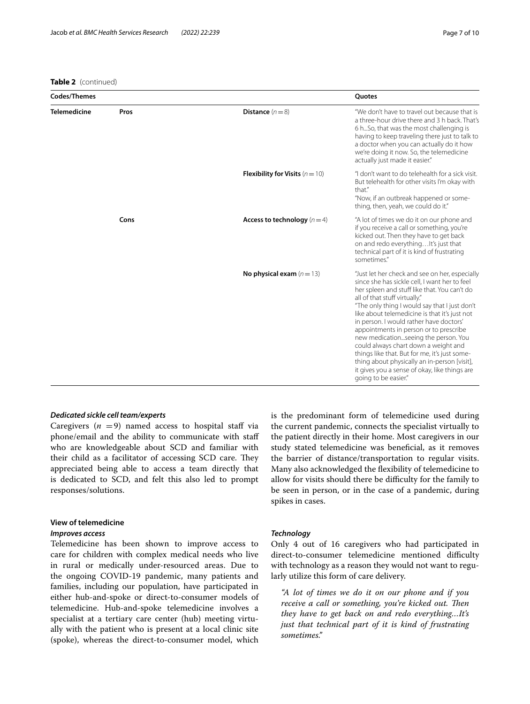| Codes/Themes |      |                                          | <b>Ouotes</b>                                                                                                                                                                                                                                                                                                                                                                                                                                                                                                                                                                                                                     |
|--------------|------|------------------------------------------|-----------------------------------------------------------------------------------------------------------------------------------------------------------------------------------------------------------------------------------------------------------------------------------------------------------------------------------------------------------------------------------------------------------------------------------------------------------------------------------------------------------------------------------------------------------------------------------------------------------------------------------|
| Telemedicine | Pros | Distance $(n=8)$                         | "We don't have to travel out because that is<br>a three-hour drive there and 3 h back. That's<br>6 hSo, that was the most challenging is<br>having to keep traveling there just to talk to<br>a doctor when you can actually do it how<br>we're doing it now. So, the telemedicine<br>actually just made it easier."                                                                                                                                                                                                                                                                                                              |
|              |      | <b>Flexibility for Visits</b> $(n = 10)$ | "I don't want to do telehealth for a sick visit.<br>But telehealth for other visits I'm okay with<br>that."<br>"Now, if an outbreak happened or some-<br>thing, then, yeah, we could do it."                                                                                                                                                                                                                                                                                                                                                                                                                                      |
|              | Cons | Access to technology $(n=4)$             | "A lot of times we do it on our phone and<br>if you receive a call or something, you're<br>kicked out. Then they have to get back<br>on and redo everything It's just that<br>technical part of it is kind of frustrating<br>sometimes."                                                                                                                                                                                                                                                                                                                                                                                          |
|              |      | No physical exam $(n=13)$                | "Just let her check and see on her, especially<br>since she has sickle cell, I want her to feel<br>her spleen and stuff like that. You can't do<br>all of that stuff virtually."<br>"The only thing I would say that I just don't<br>like about telemedicine is that it's just not<br>in person. I would rather have doctors'<br>appointments in person or to prescribe<br>new medicationseeing the person. You<br>could always chart down a weight and<br>things like that. But for me, it's just some-<br>thing about physically an in-person [visit],<br>it gives you a sense of okay, like things are<br>going to be easier." |

#### *Dedicated sickle cell team/experts*

Caregivers  $(n = 9)$  named access to hospital staff via phone/email and the ability to communicate with staff who are knowledgeable about SCD and familiar with their child as a facilitator of accessing SCD care. They appreciated being able to access a team directly that is dedicated to SCD, and felt this also led to prompt responses/solutions.

#### **View of telemedicine**

#### *Improves access*

Telemedicine has been shown to improve access to care for children with complex medical needs who live in rural or medically under-resourced areas. Due to the ongoing COVID-19 pandemic, many patients and families, including our population, have participated in either hub-and-spoke or direct-to-consumer models of telemedicine. Hub-and-spoke telemedicine involves a specialist at a tertiary care center (hub) meeting virtually with the patient who is present at a local clinic site (spoke), whereas the direct-to-consumer model, which is the predominant form of telemedicine used during the current pandemic, connects the specialist virtually to the patient directly in their home. Most caregivers in our study stated telemedicine was benefcial, as it removes the barrier of distance/transportation to regular visits. Many also acknowledged the fexibility of telemedicine to allow for visits should there be difficulty for the family to be seen in person, or in the case of a pandemic, during spikes in cases.

#### *Technology*

Only 4 out of 16 caregivers who had participated in direct-to-consumer telemedicine mentioned difficulty with technology as a reason they would not want to regularly utilize this form of care delivery.

*"A lot of times we do it on our phone and if you receive a call or something, you're kicked out. Then they have to get back on and redo everything…It's just that technical part of it is kind of frustrating sometimes."*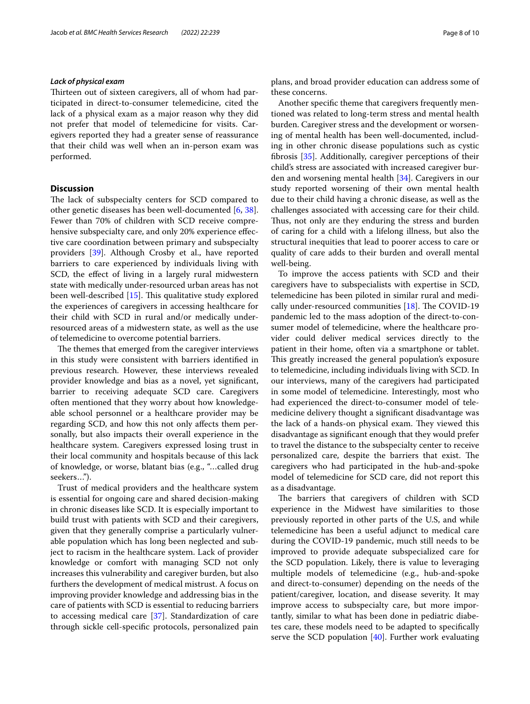#### *Lack of physical exam*

Thirteen out of sixteen caregivers, all of whom had participated in direct-to-consumer telemedicine, cited the lack of a physical exam as a major reason why they did not prefer that model of telemedicine for visits. Caregivers reported they had a greater sense of reassurance that their child was well when an in-person exam was performed.

#### **Discussion**

The lack of subspecialty centers for SCD compared to other genetic diseases has been well-documented [\[6](#page-8-14), [38](#page-9-15)]. Fewer than 70% of children with SCD receive comprehensive subspecialty care, and only 20% experience effective care coordination between primary and subspecialty providers [[39](#page-9-16)]. Although Crosby et al., have reported barriers to care experienced by individuals living with SCD, the effect of living in a largely rural midwestern state with medically under-resourced urban areas has not been well-described [\[15](#page-8-13)]. This qualitative study explored the experiences of caregivers in accessing healthcare for their child with SCD in rural and/or medically underresourced areas of a midwestern state, as well as the use of telemedicine to overcome potential barriers.

The themes that emerged from the caregiver interviews in this study were consistent with barriers identifed in previous research. However, these interviews revealed provider knowledge and bias as a novel, yet signifcant, barrier to receiving adequate SCD care. Caregivers often mentioned that they worry about how knowledgeable school personnel or a healthcare provider may be regarding SCD, and how this not only afects them personally, but also impacts their overall experience in the healthcare system. Caregivers expressed losing trust in their local community and hospitals because of this lack of knowledge, or worse, blatant bias (e.g., "…called drug seekers…").

Trust of medical providers and the healthcare system is essential for ongoing care and shared decision-making in chronic diseases like SCD. It is especially important to build trust with patients with SCD and their caregivers, given that they generally comprise a particularly vulnerable population which has long been neglected and subject to racism in the healthcare system. Lack of provider knowledge or comfort with managing SCD not only increases this vulnerability and caregiver burden, but also furthers the development of medical mistrust. A focus on improving provider knowledge and addressing bias in the care of patients with SCD is essential to reducing barriers to accessing medical care [\[37](#page-9-14)]. Standardization of care through sickle cell-specifc protocols, personalized pain plans, and broad provider education can address some of these concerns.

Another specifc theme that caregivers frequently mentioned was related to long-term stress and mental health burden. Caregiver stress and the development or worsening of mental health has been well-documented, including in other chronic disease populations such as cystic fbrosis [\[35\]](#page-9-12). Additionally, caregiver perceptions of their child's stress are associated with increased caregiver burden and worsening mental health [[34\]](#page-9-17). Caregivers in our study reported worsening of their own mental health due to their child having a chronic disease, as well as the challenges associated with accessing care for their child. Thus, not only are they enduring the stress and burden of caring for a child with a lifelong illness, but also the structural inequities that lead to poorer access to care or quality of care adds to their burden and overall mental well-being.

To improve the access patients with SCD and their caregivers have to subspecialists with expertise in SCD, telemedicine has been piloted in similar rural and medically under-resourced communities  $[18]$  $[18]$ . The COVID-19 pandemic led to the mass adoption of the direct-to-consumer model of telemedicine, where the healthcare provider could deliver medical services directly to the patient in their home, often via a smartphone or tablet. This greatly increased the general population's exposure to telemedicine, including individuals living with SCD. In our interviews, many of the caregivers had participated in some model of telemedicine. Interestingly, most who had experienced the direct-to-consumer model of telemedicine delivery thought a signifcant disadvantage was the lack of a hands-on physical exam. They viewed this disadvantage as signifcant enough that they would prefer to travel the distance to the subspecialty center to receive personalized care, despite the barriers that exist. The caregivers who had participated in the hub-and-spoke model of telemedicine for SCD care, did not report this as a disadvantage.

The barriers that caregivers of children with SCD experience in the Midwest have similarities to those previously reported in other parts of the U.S, and while telemedicine has been a useful adjunct to medical care during the COVID-19 pandemic, much still needs to be improved to provide adequate subspecialized care for the SCD population. Likely, there is value to leveraging multiple models of telemedicine (e.g., hub-and-spoke and direct-to-consumer) depending on the needs of the patient/caregiver, location, and disease severity. It may improve access to subspecialty care, but more importantly, similar to what has been done in pediatric diabetes care, these models need to be adapted to specifcally serve the SCD population [[40](#page-9-18)]. Further work evaluating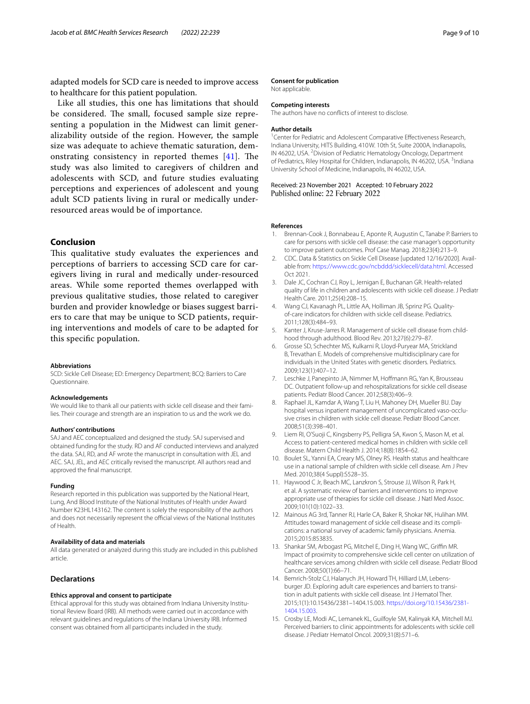adapted models for SCD care is needed to improve access to healthcare for this patient population.

Like all studies, this one has limitations that should be considered. The small, focused sample size representing a population in the Midwest can limit generalizability outside of the region. However, the sample size was adequate to achieve thematic saturation, demonstrating consistency in reported themes  $[41]$  $[41]$  $[41]$ . The study was also limited to caregivers of children and adolescents with SCD, and future studies evaluating perceptions and experiences of adolescent and young adult SCD patients living in rural or medically underresourced areas would be of importance.

#### **Conclusion**

This qualitative study evaluates the experiences and perceptions of barriers to accessing SCD care for caregivers living in rural and medically under-resourced areas. While some reported themes overlapped with previous qualitative studies, those related to caregiver burden and provider knowledge or biases suggest barriers to care that may be unique to SCD patients, requiring interventions and models of care to be adapted for this specifc population.

#### **Abbreviations**

SCD: Sickle Cell Disease; ED: Emergency Department; BCQ: Barriers to Care Questionnaire.

#### **Acknowledgements**

We would like to thank all our patients with sickle cell disease and their families. Their courage and strength are an inspiration to us and the work we do.

#### **Authors' contributions**

SAJ and AEC conceptualized and designed the study. SAJ supervised and obtained funding for the study. RD and AF conducted interviews and analyzed the data. SAJ, RD, and AF wrote the manuscript in consultation with JEL and AEC. SAJ, JEL, and AEC critically revised the manuscript. All authors read and approved the fnal manuscript.

#### **Funding**

Research reported in this publication was supported by the National Heart, Lung, And Blood Institute of the National Institutes of Health under Award Number K23HL143162. The content is solely the responsibility of the authors and does not necessarily represent the official views of the National Institutes of Health.

#### **Availability of data and materials**

All data generated or analyzed during this study are included in this published article.

#### **Declarations**

#### **Ethics approval and consent to participate**

Ethical approval for this study was obtained from Indiana University Institutional Review Board (IRB). All methods were carried out in accordance with relevant guidelines and regulations of the Indiana University IRB. Informed consent was obtained from all participants included in the study.

#### **Consent for publication**

Not applicable.

#### **Competing interests**

The authors have no conficts of interest to disclose.

#### **Author details**

<sup>1</sup> Center for Pediatric and Adolescent Comparative Effectiveness Research, Indiana University, HITS Building, 410W. 10th St, Suite 2000A, Indianapolis, IN 46202, USA.<sup>2</sup> Division of Pediatric Hematology Oncology, Department of Pediatrics, Riley Hospital for Children, Indianapolis, IN 46202, USA.<sup>3</sup>Indiana University School of Medicine, Indianapolis, IN 46202, USA.

## Received: 23 November 2021 Accepted: 10 February 2022

#### **References**

- <span id="page-8-0"></span>Brennan-Cook J, Bonnabeau E, Aponte R, Augustin C, Tanabe P. Barriers to care for persons with sickle cell disease: the case manager's opportunity to improve patient outcomes. Prof Case Manag. 2018;23(4):213–9.
- <span id="page-8-1"></span>2. CDC. Data & Statistics on Sickle Cell Disease [updated 12/16/2020]. Available from: [https://www.cdc.gov/ncbddd/sicklecell/data.html.](https://www.cdc.gov/ncbddd/sicklecell/data.html) Accessed Oct 2021.
- <span id="page-8-2"></span>3. Dale JC, Cochran CJ, Roy L, Jernigan E, Buchanan GR. Health-related quality of life in children and adolescents with sickle cell disease. J Pediatr Health Care. 2011;25(4):208–15.
- <span id="page-8-3"></span>4. Wang CJ, Kavanagh PL, Little AA, Holliman JB, Sprinz PG. Qualityof-care indicators for children with sickle cell disease. Pediatrics. 2011;128(3):484–93.
- <span id="page-8-4"></span>5. Kanter J, Kruse-Jarres R. Management of sickle cell disease from childhood through adulthood. Blood Rev. 2013;27(6):279–87.
- <span id="page-8-14"></span>6. Grosse SD, Schechter MS, Kulkarni R, Lloyd-Puryear MA, Strickland B, Trevathan E. Models of comprehensive multidisciplinary care for individuals in the United States with genetic disorders. Pediatrics. 2009;123(1):407–12.
- <span id="page-8-5"></span>7. Leschke J, Panepinto JA, Nimmer M, Hofmann RG, Yan K, Brousseau DC. Outpatient follow-up and rehospitalizations for sickle cell disease patients. Pediatr Blood Cancer. 2012;58(3):406–9.
- <span id="page-8-6"></span>8. Raphael JL, Kamdar A, Wang T, Liu H, Mahoney DH, Mueller BU. Day hospital versus inpatient management of uncomplicated vaso-occlusive crises in children with sickle cell disease. Pediatr Blood Cancer. 2008;51(3):398–401.
- <span id="page-8-7"></span>9. Liem RI, O'Suoji C, Kingsberry PS, Pelligra SA, Kwon S, Mason M, et al. Access to patient-centered medical homes in children with sickle cell disease. Matern Child Health J. 2014;18(8):1854–62.
- <span id="page-8-8"></span>10. Boulet SL, Yanni EA, Creary MS, Olney RS. Health status and healthcare use in a national sample of children with sickle cell disease. Am J Prev Med. 2010;38(4 Suppl):S528–35.
- <span id="page-8-9"></span>11. Haywood C Jr, Beach MC, Lanzkron S, Strouse JJ, Wilson R, Park H, et al. A systematic review of barriers and interventions to improve appropriate use of therapies for sickle cell disease. J Natl Med Assoc. 2009;101(10):1022–33.
- <span id="page-8-10"></span>12. Mainous AG 3rd, Tanner RJ, Harle CA, Baker R, Shokar NK, Hulihan MM. Attitudes toward management of sickle cell disease and its complications: a national survey of academic family physicians. Anemia. 2015;2015:853835.
- <span id="page-8-11"></span>13. Shankar SM, Arbogast PG, Mitchel E, Ding H, Wang WC, Griffin MR. Impact of proximity to comprehensive sickle cell center on utilization of healthcare services among children with sickle cell disease. Pediatr Blood Cancer. 2008;50(1):66–71.
- <span id="page-8-12"></span>14. Bemrich-Stolz CJ, Halanych JH, Howard TH, Hilliard LM, Lebensburger JD. Exploring adult care experiences and barriers to transition in adult patients with sickle cell disease. Int J Hematol Ther. 2015;1(1):10.15436/2381–1404.15.003. [https://doi.org/10.15436/2381-](https://doi.org/10.15436/2381-1404.15.003) [1404.15.003](https://doi.org/10.15436/2381-1404.15.003).
- <span id="page-8-13"></span>15. Crosby LE, Modi AC, Lemanek KL, Guilfoyle SM, Kalinyak KA, Mitchell MJ. Perceived barriers to clinic appointments for adolescents with sickle cell disease. J Pediatr Hematol Oncol. 2009;31(8):571–6.